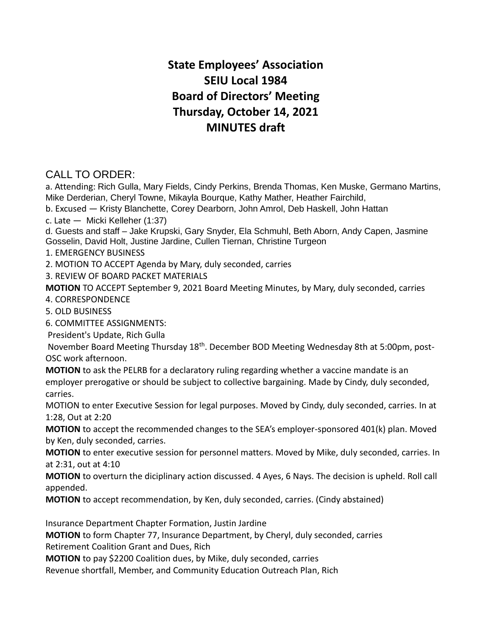## **State Employees' Association SEIU Local 1984 Board of Directors' Meeting Thursday, October 14, 2021 MINUTES draft**

## CALL TO ORDER:

a. Attending: Rich Gulla, Mary Fields, Cindy Perkins, Brenda Thomas, Ken Muske, Germano Martins, Mike Derderian, Cheryl Towne, Mikayla Bourque, Kathy Mather, Heather Fairchild,

b. Excused — Kristy Blanchette, Corey Dearborn, John Amrol, Deb Haskell, John Hattan

c. Late — Micki Kelleher (1:37)

d. Guests and staff – Jake Krupski, Gary Snyder, Ela Schmuhl, Beth Aborn, Andy Capen, Jasmine Gosselin, David Holt, Justine Jardine, Cullen Tiernan, Christine Turgeon

1. EMERGENCY BUSINESS

2. MOTION TO ACCEPT Agenda by Mary, duly seconded, carries

3. REVIEW OF BOARD PACKET MATERIALS

**MOTION** TO ACCEPT September 9, 2021 Board Meeting Minutes, by Mary, duly seconded, carries

4. CORRESPONDENCE

5. OLD BUSINESS

6. COMMITTEE ASSIGNMENTS:

President's Update, Rich Gulla

November Board Meeting Thursday 18<sup>th</sup>. December BOD Meeting Wednesday 8th at 5:00pm, post-OSC work afternoon.

**MOTION** to ask the PELRB for a declaratory ruling regarding whether a vaccine mandate is an employer prerogative or should be subject to collective bargaining. Made by Cindy, duly seconded, carries.

MOTION to enter Executive Session for legal purposes. Moved by Cindy, duly seconded, carries. In at 1:28, Out at 2:20

**MOTION** to accept the recommended changes to the SEA's employer-sponsored 401(k) plan. Moved by Ken, duly seconded, carries.

**MOTION** to enter executive session for personnel matters. Moved by Mike, duly seconded, carries. In at 2:31, out at 4:10

**MOTION** to overturn the diciplinary action discussed. 4 Ayes, 6 Nays. The decision is upheld. Roll call appended.

**MOTION** to accept recommendation, by Ken, duly seconded, carries. (Cindy abstained)

Insurance Department Chapter Formation, Justin Jardine

**MOTION** to form Chapter 77, Insurance Department, by Cheryl, duly seconded, carries

Retirement Coalition Grant and Dues, Rich

**MOTION** to pay \$2200 Coalition dues, by Mike, duly seconded, carries

Revenue shortfall, Member, and Community Education Outreach Plan, Rich